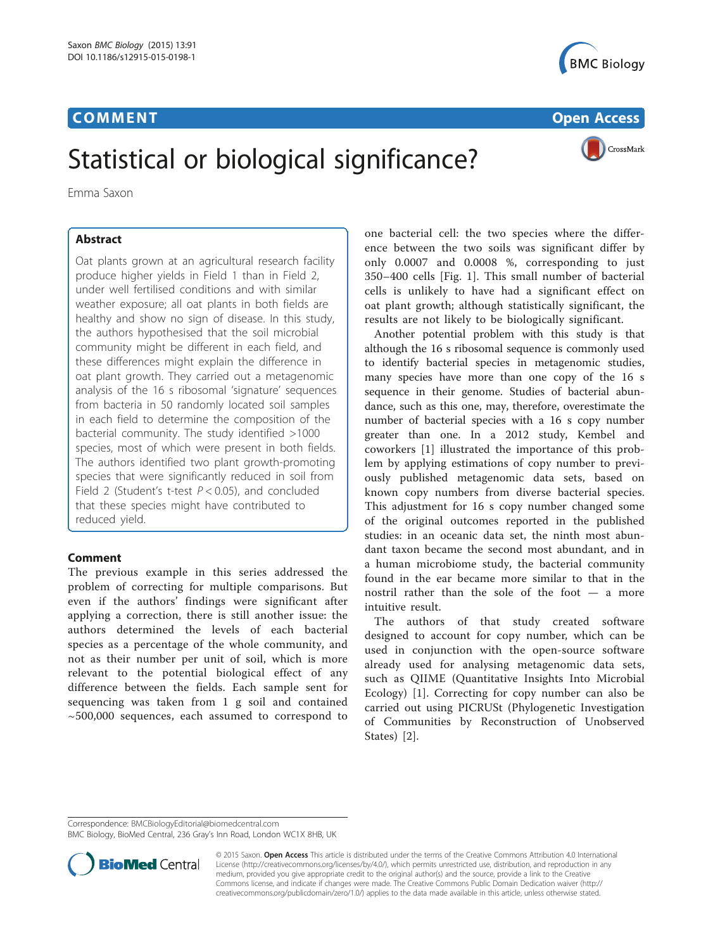## Communication of the communication of the communication of the communication of the communication of the communication of the communication of the communication of the communication of the communication of the communicatio



CrossMark

# Statistical or biological significance?

Emma Saxon

Oat plants grown at an agricultural research facility produce higher yields in Field 1 than in Field 2, under well fertilised conditions and with similar weather exposure; all oat plants in both fields are healthy and show no sign of disease. In this study, the authors hypothesised that the soil microbial community might be different in each field, and these differences might explain the difference in oat plant growth. They carried out a metagenomic analysis of the 16 s ribosomal 'signature' sequences from bacteria in 50 randomly located soil samples in each field to determine the composition of the bacterial community. The study identified >1000 species, most of which were present in both fields. The authors identified two plant growth-promoting species that were significantly reduced in soil from Field 2 (Student's t-test  $P < 0.05$ ), and concluded that these species might have contributed to reduced yield.

## **Comment**

The previous example in this series addressed the problem of correcting for multiple comparisons. But even if the authors' findings were significant after applying a correction, there is still another issue: the authors determined the levels of each bacterial species as a percentage of the whole community, and not as their number per unit of soil, which is more relevant to the potential biological effect of any difference between the fields. Each sample sent for sequencing was taken from 1 g soil and contained  $\sim$  500,000 sequences, each assumed to correspond to

one bacterial cell: the two species where the difference between the two soils was significant differ by only 0.0007 and 0.0008 %, corresponding to just 350–400 cells [Fig. [1\]](#page-1-0). This small number of bacterial cells is unlikely to have had a significant effect on oat plant growth; although statistically significant, the results are not likely to be biologically significant.

Another potential problem with this study is that although the 16 s ribosomal sequence is commonly used to identify bacterial species in metagenomic studies, many species have more than one copy of the 16 s sequence in their genome. Studies of bacterial abundance, such as this one, may, therefore, overestimate the number of bacterial species with a 16 s copy number greater than one. In a 2012 study, Kembel and coworkers [[1](#page-1-0)] illustrated the importance of this problem by applying estimations of copy number to previously published metagenomic data sets, based on known copy numbers from diverse bacterial species. This adjustment for 16 s copy number changed some of the original outcomes reported in the published studies: in an oceanic data set, the ninth most abundant taxon became the second most abundant, and in a human microbiome study, the bacterial community found in the ear became more similar to that in the nostril rather than the sole of the foot — a more intuitive result.

The authors of that study created software designed to account for copy number, which can be used in conjunction with the open-source software already used for analysing metagenomic data sets, such as QIIME (Quantitative Insights Into Microbial Ecology) [[1](#page-1-0)]. Correcting for copy number can also be carried out using PICRUSt (Phylogenetic Investigation of Communities by Reconstruction of Unobserved States) [[2\]](#page-1-0).

Correspondence: [BMCBiologyEditorial@biomedcentral.com](mailto:BMCBiologyEditorial@biomedcentral.com)

BMC Biology, BioMed Central, 236 Gray's Inn Road, London WC1X 8HB, UK



© 2015 Saxon. Open Access This article is distributed under the terms of the Creative Commons Attribution 4.0 International License ([http://creativecommons.org/licenses/by/4.0/\)](http://creativecommons.org/licenses/by/4.0/), which permits unrestricted use, distribution, and reproduction in any medium, provided you give appropriate credit to the original author(s) and the source, provide a link to the Creative Commons license, and indicate if changes were made. The Creative Commons Public Domain Dedication waiver ([http://](http://creativecommons.org/publicdomain/zero/1.0/) [creativecommons.org/publicdomain/zero/1.0/\)](http://creativecommons.org/publicdomain/zero/1.0/) applies to the data made available in this article, unless otherwise stated.